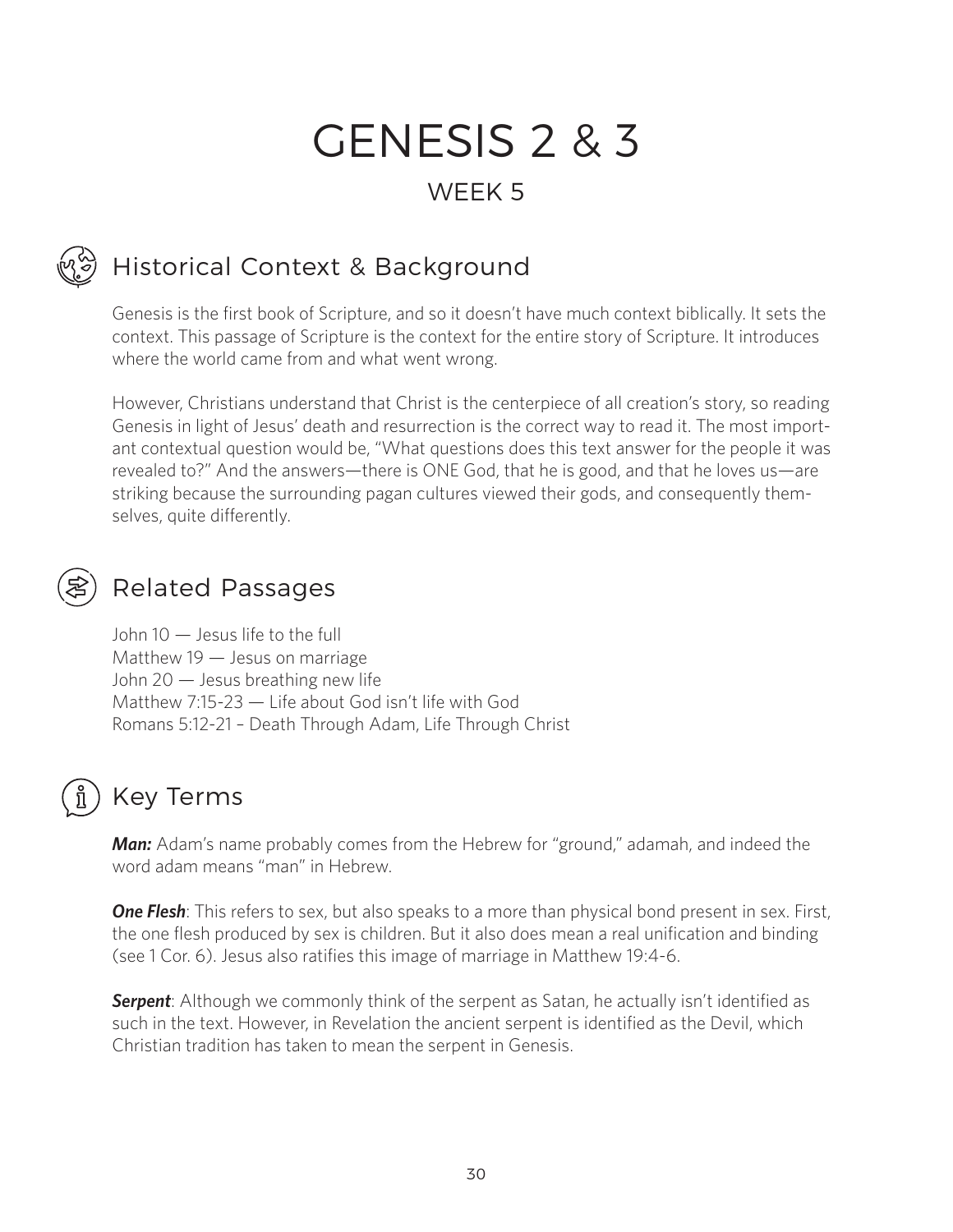# GENESIS 2 & 3 WEEK 5

## Historical Context & Background

Genesis is the first book of Scripture, and so it doesn't have much context biblically. It sets the context. This passage of Scripture is the context for the entire story of Scripture. It introduces where the world came from and what went wrong.

However, Christians understand that Christ is the centerpiece of all creation's story, so reading Genesis in light of Jesus' death and resurrection is the correct way to read it. The most important contextual question would be, "What questions does this text answer for the people it was revealed to?" And the answers—there is ONE God, that he is good, and that he loves us—are striking because the surrounding pagan cultures viewed their gods, and consequently themselves, quite differently.

#### Related Passages

John 10 — Jesus life to the full Matthew 19 — Jesus on marriage John 20 — Jesus breathing new life Matthew 7:15-23 — Life about God isn't life with God Romans 5:12-21 – Death Through Adam, Life Through Christ

#### Key Terms

*Man:* Adam's name probably comes from the Hebrew for "ground," adamah, and indeed the word adam means "man" in Hebrew.

**One Flesh**: This refers to sex, but also speaks to a more than physical bond present in sex. First, the one flesh produced by sex is children. But it also does mean a real unification and binding (see 1 Cor. 6). Jesus also ratifies this image of marriage in Matthew 19:4-6.

**Serpent**: Although we commonly think of the serpent as Satan, he actually isn't identified as such in the text. However, in Revelation the ancient serpent is identified as the Devil, which Christian tradition has taken to mean the serpent in Genesis.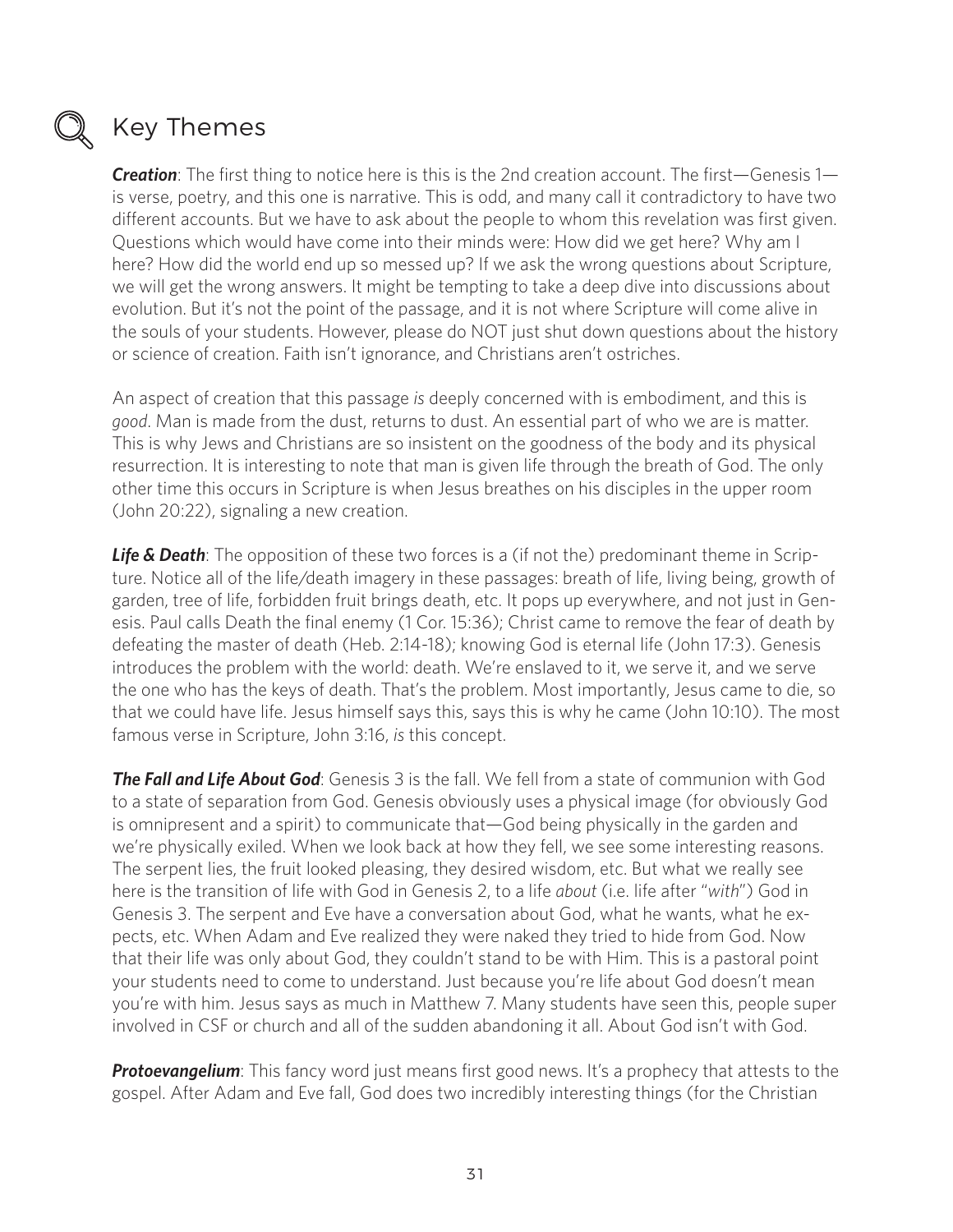

#### Key Themes

**Creation**: The first thing to notice here is this is the 2nd creation account. The first—Genesis 1 is verse, poetry, and this one is narrative. This is odd, and many call it contradictory to have two different accounts. But we have to ask about the people to whom this revelation was first given. Questions which would have come into their minds were: How did we get here? Why am I here? How did the world end up so messed up? If we ask the wrong questions about Scripture, we will get the wrong answers. It might be tempting to take a deep dive into discussions about evolution. But it's not the point of the passage, and it is not where Scripture will come alive in the souls of your students. However, please do NOT just shut down questions about the history or science of creation. Faith isn't ignorance, and Christians aren't ostriches.

An aspect of creation that this passage *is* deeply concerned with is embodiment, and this is *good*. Man is made from the dust, returns to dust. An essential part of who we are is matter. This is why Jews and Christians are so insistent on the goodness of the body and its physical resurrection. It is interesting to note that man is given life through the breath of God. The only other time this occurs in Scripture is when Jesus breathes on his disciples in the upper room (John 20:22), signaling a new creation.

*Life & Death*: The opposition of these two forces is a (if not the) predominant theme in Scripture. Notice all of the life/death imagery in these passages: breath of life, living being, growth of garden, tree of life, forbidden fruit brings death, etc. It pops up everywhere, and not just in Genesis. Paul calls Death the final enemy (1 Cor. 15:36); Christ came to remove the fear of death by defeating the master of death (Heb. 2:14-18); knowing God is eternal life (John 17:3). Genesis introduces the problem with the world: death. We're enslaved to it, we serve it, and we serve the one who has the keys of death. That's the problem. Most importantly, Jesus came to die, so that we could have life. Jesus himself says this, says this is why he came (John 10:10). The most famous verse in Scripture, John 3:16, *is* this concept.

*The Fall and Life About God*: Genesis 3 is the fall. We fell from a state of communion with God to a state of separation from God. Genesis obviously uses a physical image (for obviously God is omnipresent and a spirit) to communicate that—God being physically in the garden and we're physically exiled. When we look back at how they fell, we see some interesting reasons. The serpent lies, the fruit looked pleasing, they desired wisdom, etc. But what we really see here is the transition of life with God in Genesis 2, to a life *about* (i.e. life after "*with*") God in Genesis 3. The serpent and Eve have a conversation about God, what he wants, what he expects, etc. When Adam and Eve realized they were naked they tried to hide from God. Now that their life was only about God, they couldn't stand to be with Him. This is a pastoral point your students need to come to understand. Just because you're life about God doesn't mean you're with him. Jesus says as much in Matthew 7. Many students have seen this, people super involved in CSF or church and all of the sudden abandoning it all. About God isn't with God.

**Protoevangelium**: This fancy word just means first good news. It's a prophecy that attests to the gospel. After Adam and Eve fall, God does two incredibly interesting things (for the Christian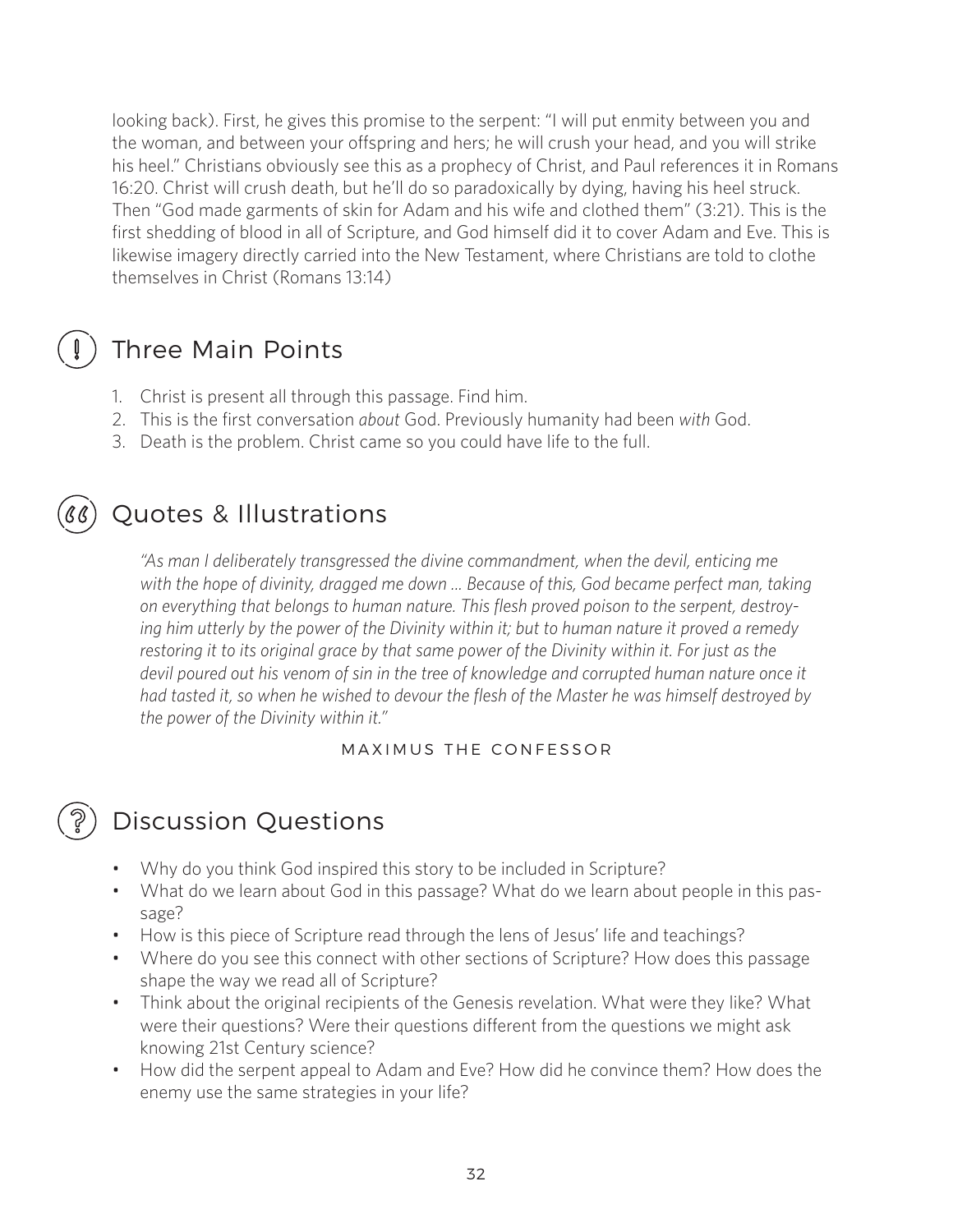looking back). First, he gives this promise to the serpent: "I will put enmity between you and the woman, and between your offspring and hers; he will crush your head, and you will strike his heel." Christians obviously see this as a prophecy of Christ, and Paul references it in Romans 16:20. Christ will crush death, but he'll do so paradoxically by dying, having his heel struck. Then "God made garments of skin for Adam and his wife and clothed them" (3:21). This is the first shedding of blood in all of Scripture, and God himself did it to cover Adam and Eve. This is likewise imagery directly carried into the New Testament, where Christians are told to clothe themselves in Christ (Romans 13:14)

### Three Main Points

- 1. Christ is present all through this passage. Find him.
- 2. This is the first conversation *about* God. Previously humanity had been *with* God.
- 3. Death is the problem. Christ came so you could have life to the full.

### Quotes & Illustrations

*"As man I deliberately transgressed the divine commandment, when the devil, enticing me with the hope of divinity, dragged me down ... Because of this, God became perfect man, taking on everything that belongs to human nature. This flesh proved poison to the serpent, destroying him utterly by the power of the Divinity within it; but to human nature it proved a remedy restoring it to its original grace by that same power of the Divinity within it. For just as the devil poured out his venom of sin in the tree of knowledge and corrupted human nature once it had tasted it, so when he wished to devour the flesh of the Master he was himself destroyed by the power of the Divinity within it."*

#### MAXIMUS THE CONFESSOR

### Discussion Questions

- Why do you think God inspired this story to be included in Scripture?
- What do we learn about God in this passage? What do we learn about people in this passage?
- How is this piece of Scripture read through the lens of Jesus' life and teachings?
- Where do you see this connect with other sections of Scripture? How does this passage shape the way we read all of Scripture?
- Think about the original recipients of the Genesis revelation. What were they like? What were their questions? Were their questions different from the questions we might ask knowing 21st Century science?
- How did the serpent appeal to Adam and Eve? How did he convince them? How does the enemy use the same strategies in your life?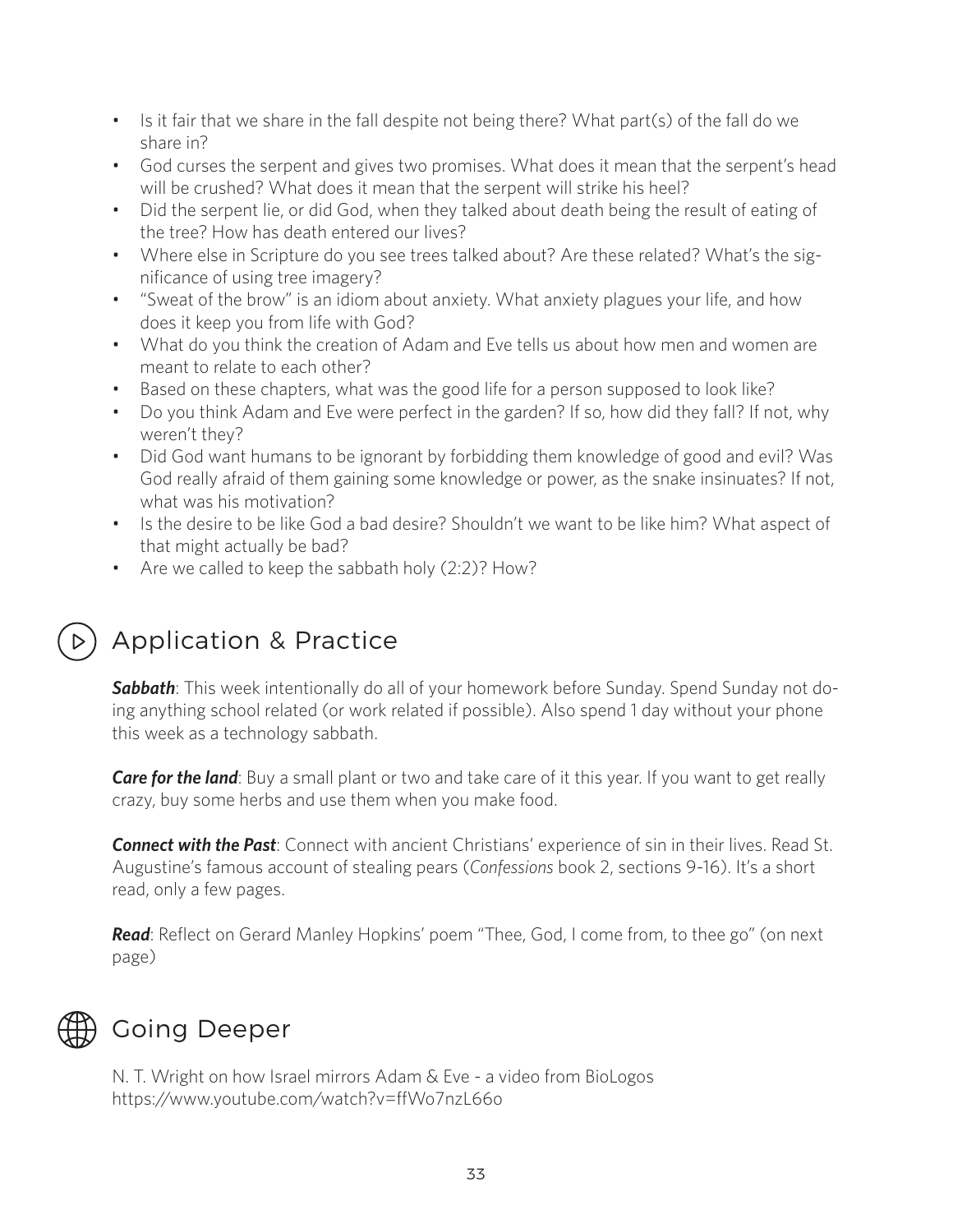- Is it fair that we share in the fall despite not being there? What part(s) of the fall do we share in?
- God curses the serpent and gives two promises. What does it mean that the serpent's head will be crushed? What does it mean that the serpent will strike his heel?
- Did the serpent lie, or did God, when they talked about death being the result of eating of the tree? How has death entered our lives?
- Where else in Scripture do you see trees talked about? Are these related? What's the significance of using tree imagery?
- "Sweat of the brow" is an idiom about anxiety. What anxiety plagues your life, and how does it keep you from life with God?
- What do you think the creation of Adam and Eve tells us about how men and women are meant to relate to each other?
- Based on these chapters, what was the good life for a person supposed to look like?
- Do you think Adam and Eve were perfect in the garden? If so, how did they fall? If not, why weren't they?
- Did God want humans to be ignorant by forbidding them knowledge of good and evil? Was God really afraid of them gaining some knowledge or power, as the snake insinuates? If not, what was his motivation?
- Is the desire to be like God a bad desire? Shouldn't we want to be like him? What aspect of that might actually be bad?
- Are we called to keep the sabbath holy (2:2)? How?

## Application & Practice

*Sabbath*: This week intentionally do all of your homework before Sunday. Spend Sunday not doing anything school related (or work related if possible). Also spend 1 day without your phone this week as a technology sabbath.

**Care for the land**: Buy a small plant or two and take care of it this year. If you want to get really crazy, buy some herbs and use them when you make food.

*Connect with the Past*: Connect with ancient Christians' experience of sin in their lives. Read St. Augustine's famous account of stealing pears (*Confessions* book 2, sections 9-16). It's a short read, only a few pages.

*Read*: Reflect on Gerard Manley Hopkins' poem "Thee, God, I come from, to thee go" (on next page)



### Going Deeper

N. T. Wright on how Israel mirrors Adam & Eve - a video from BioLogos https://www.youtube.com/watch?v=ffWo7nzL66o